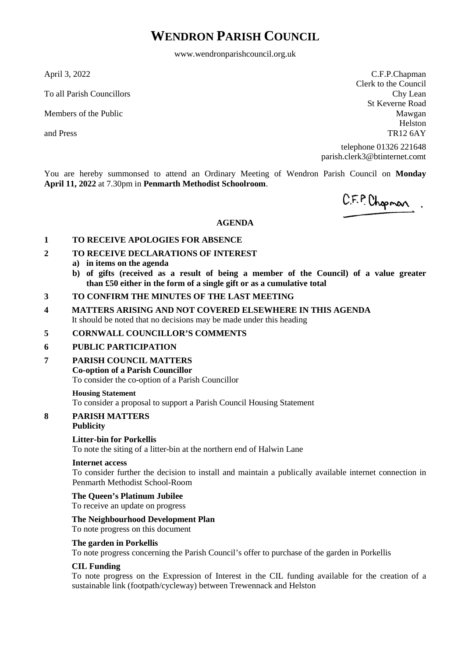# **WENDRON PARISH COUNCIL**

www.wendronparishcouncil.org.uk

April 3, 2022

To all Parish Councillors

Members of the Public

and Press

C.F.P.Chapman Clerk to the Council Chy Lean St Keverne Road Mawgan Helston TR12 6AY

telephone 01326 221648 parish.clerk3@btinternet.comt

You are hereby summonsed to attend an Ordinary Meeting of Wendron Parish Council on **Monday April 11, 2022** at 7.30pm in **Penmarth Methodist Schoolroom**.

C.F.P. Chopman.

### **AGENDA**

### **1 TO RECEIVE APOLOGIES FOR ABSENCE**

- **2 TO RECEIVE DECLARATIONS OF INTEREST**
	- **a) in items on the agenda**
	- **b) of gifts (received as a result of being a member of the Council) of a value greater than £50 either in the form of a single gift or as a cumulative total**
- **3 TO CONFIRM THE MINUTES OF THE LAST MEETING**
- **4 MATTERS ARISING AND NOT COVERED ELSEWHERE IN THIS AGENDA** It should be noted that no decisions may be made under this heading

### **5 CORNWALL COUNCILLOR'S COMMENTS**

### **6 PUBLIC PARTICIPATION**

**7 PARISH COUNCIL MATTERS**

### **Co-option of a Parish Councillor**

To consider the co-option of a Parish Councillor

### **Housing Statement**

To consider a proposal to support a Parish Council Housing Statement

## **8 PARISH MATTERS**

## **Publicity**

### **Litter-bin for Porkellis**

To note the siting of a litter-bin at the northern end of Halwin Lane

### **Internet access**

To consider further the decision to install and maintain a publically available internet connection in Penmarth Methodist School-Room

### **The Queen's Platinum Jubilee**

To receive an update on progress

### **The Neighbourhood Development Plan**

## To note progress on this document

## **The garden in Porkellis**

To note progress concerning the Parish Council's offer to purchase of the garden in Porkellis

### **CIL Funding**

To note progress on the Expression of Interest in the CIL funding available for the creation of a sustainable link (footpath/cycleway) between Trewennack and Helston